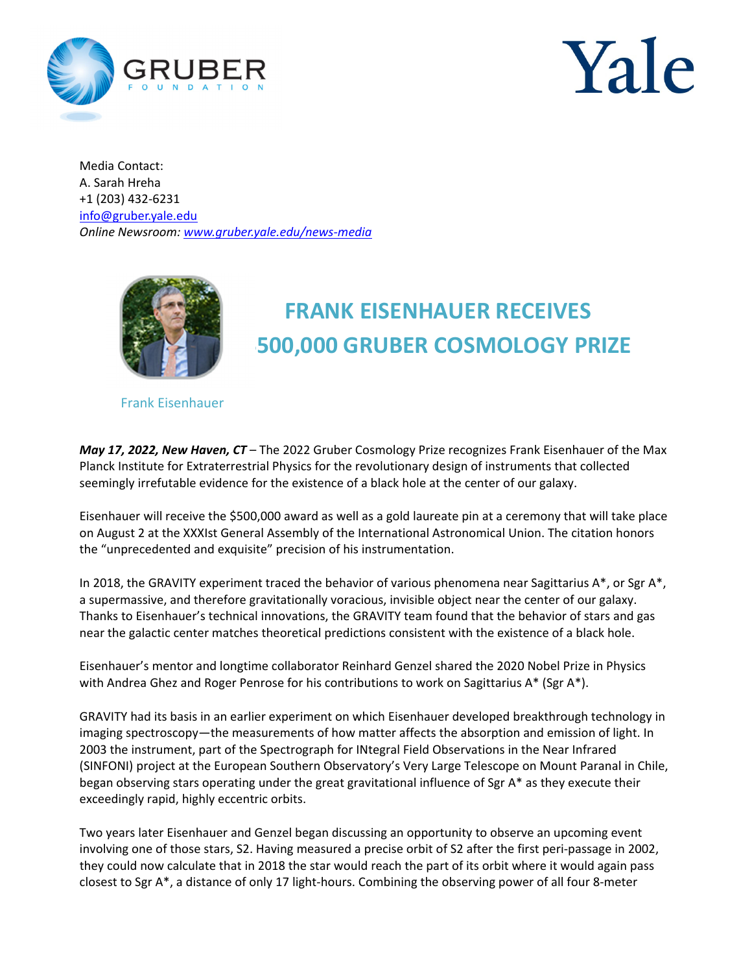



Media Contact: A. Sarah Hreha +1 (203) 432-6231 info@gruber.yale.edu *Online Newsroom: www.gruber.yale.edu/news-media* 



## **FRANK EISENHAUER RECEIVES \$500,000 GRUBER COSMOLOGY PRIZE**

Frank Eisenhauer

*May 17, 2022, New Haven, CT* – The 2022 Gruber Cosmology Prize recognizes Frank Eisenhauer of the Max Planck Institute for Extraterrestrial Physics for the revolutionary design of instruments that collected seemingly irrefutable evidence for the existence of a black hole at the center of our galaxy.

Eisenhauer will receive the \$500,000 award as well as a gold laureate pin at a ceremony that will take place on August 2 at the XXXIst General Assembly of the International Astronomical Union. The citation honors the "unprecedented and exquisite" precision of his instrumentation.

In 2018, the GRAVITY experiment traced the behavior of various phenomena near Sagittarius  $A^*$ , or Sgr  $A^*$ , a supermassive, and therefore gravitationally voracious, invisible object near the center of our galaxy. Thanks to Eisenhauer's technical innovations, the GRAVITY team found that the behavior of stars and gas near the galactic center matches theoretical predictions consistent with the existence of a black hole.

Eisenhauer's mentor and longtime collaborator Reinhard Genzel shared the 2020 Nobel Prize in Physics with Andrea Ghez and Roger Penrose for his contributions to work on Sagittarius  $A^*$  (Sgr  $A^*$ ).

GRAVITY had its basis in an earlier experiment on which Eisenhauer developed breakthrough technology in imaging spectroscopy—the measurements of how matter affects the absorption and emission of light. In 2003 the instrument, part of the Spectrograph for INtegral Field Observations in the Near Infrared (SINFONI) project at the European Southern Observatory's Very Large Telescope on Mount Paranal in Chile, began observing stars operating under the great gravitational influence of Sgr A\* as they execute their exceedingly rapid, highly eccentric orbits.

Two years later Eisenhauer and Genzel began discussing an opportunity to observe an upcoming event involving one of those stars, S2. Having measured a precise orbit of S2 after the first peri-passage in 2002, they could now calculate that in 2018 the star would reach the part of its orbit where it would again pass closest to Sgr A\*, a distance of only 17 light-hours. Combining the observing power of all four 8-meter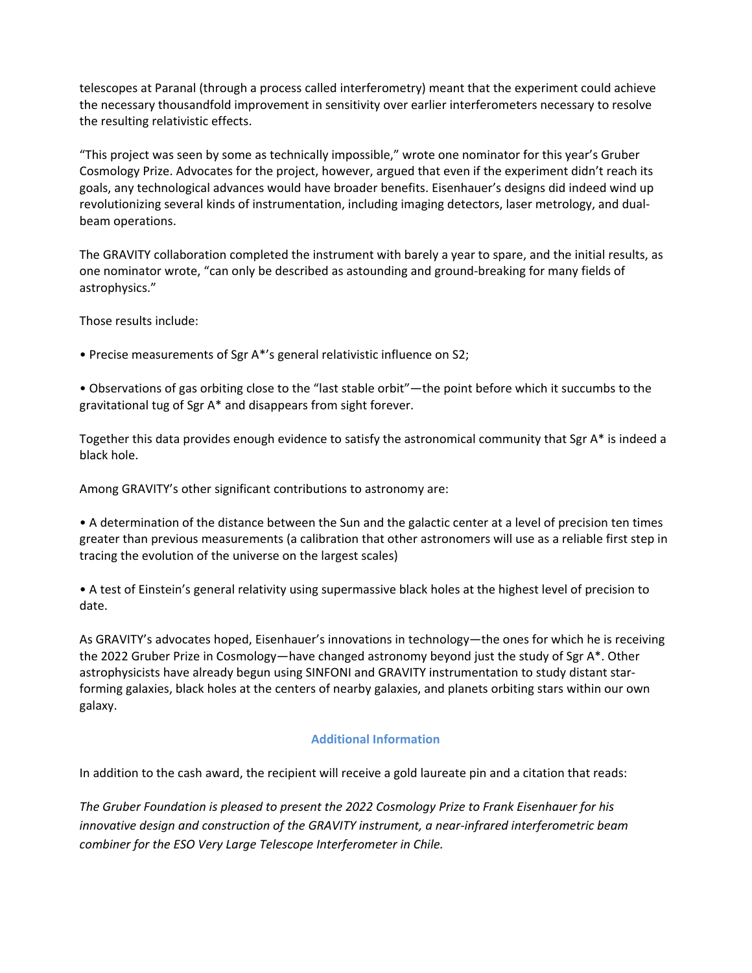telescopes at Paranal (through a process called interferometry) meant that the experiment could achieve the necessary thousandfold improvement in sensitivity over earlier interferometers necessary to resolve the resulting relativistic effects.

"This project was seen by some as technically impossible," wrote one nominator for this year's Gruber Cosmology Prize. Advocates for the project, however, argued that even if the experiment didn't reach its goals, any technological advances would have broader benefits. Eisenhauer's designs did indeed wind up revolutionizing several kinds of instrumentation, including imaging detectors, laser metrology, and dualbeam operations.

The GRAVITY collaboration completed the instrument with barely a year to spare, and the initial results, as one nominator wrote, "can only be described as astounding and ground-breaking for many fields of astrophysics."

Those results include:

• Precise measurements of Sgr A\*'s general relativistic influence on S2;

• Observations of gas orbiting close to the "last stable orbit"—the point before which it succumbs to the gravitational tug of Sgr A\* and disappears from sight forever.

Together this data provides enough evidence to satisfy the astronomical community that Sgr A\* is indeed a black hole.

Among GRAVITY's other significant contributions to astronomy are:

• A determination of the distance between the Sun and the galactic center at a level of precision ten times greater than previous measurements (a calibration that other astronomers will use as a reliable first step in tracing the evolution of the universe on the largest scales)

• A test of Einstein's general relativity using supermassive black holes at the highest level of precision to date.

As GRAVITY's advocates hoped, Eisenhauer's innovations in technology—the ones for which he is receiving the 2022 Gruber Prize in Cosmology—have changed astronomy beyond just the study of Sgr A\*. Other astrophysicists have already begun using SINFONI and GRAVITY instrumentation to study distant starforming galaxies, black holes at the centers of nearby galaxies, and planets orbiting stars within our own galaxy.

## **Additional Information**

In addition to the cash award, the recipient will receive a gold laureate pin and a citation that reads:

*The Gruber Foundation is pleased to present the 2022 Cosmology Prize to Frank Eisenhauer for his innovative design and construction of the GRAVITY instrument, a near-infrared interferometric beam combiner for the ESO Very Large Telescope Interferometer in Chile.*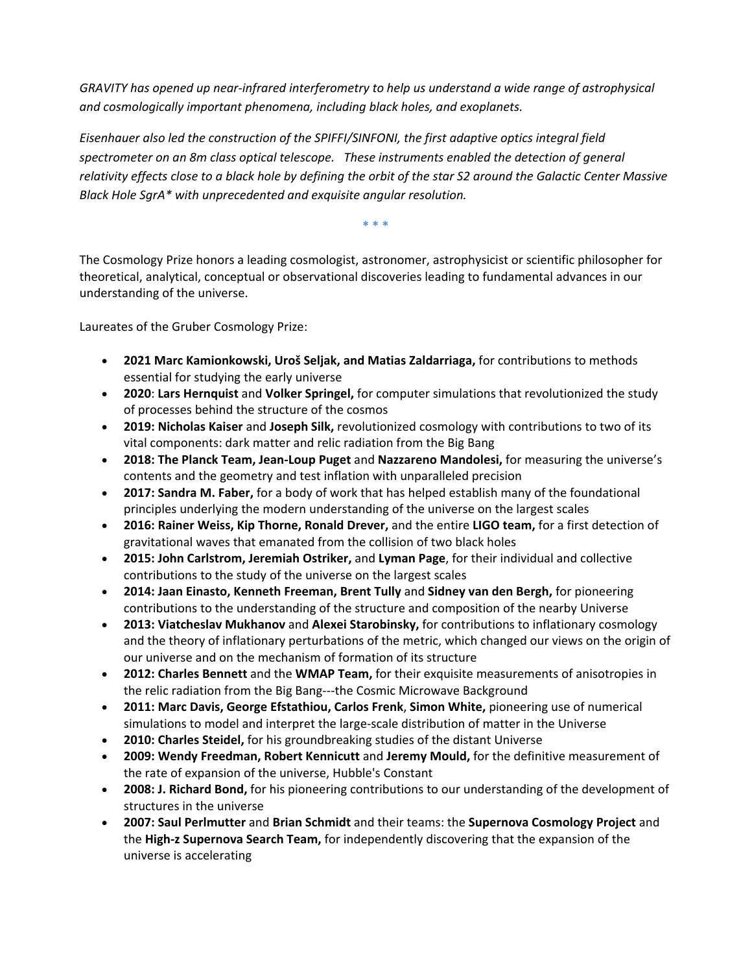*GRAVITY has opened up near-infrared interferometry to help us understand a wide range of astrophysical and cosmologically important phenomena, including black holes, and exoplanets.* 

*Eisenhauer also led the construction of the SPIFFI/SINFONI, the first adaptive optics integral field spectrometer on an 8m class optical telescope. These instruments enabled the detection of general relativity effects close to a black hole by defining the orbit of the star S2 around the Galactic Center Massive Black Hole SgrA\* with unprecedented and exquisite angular resolution.* 

**\* \* \***

The Cosmology Prize honors a leading cosmologist, astronomer, astrophysicist or scientific philosopher for theoretical, analytical, conceptual or observational discoveries leading to fundamental advances in our understanding of the universe.

Laureates of the Gruber Cosmology Prize:

- **2021 Marc Kamionkowski, Uroš Seljak, and Matias Zaldarriaga,** for contributions to methods essential for studying the early universe
- **2020**: **Lars Hernquist** and **Volker Springel,** for computer simulations that revolutionized the study of processes behind the structure of the cosmos
- **2019: Nicholas Kaiser** and **Joseph Silk,** revolutionized cosmology with contributions to two of its vital components: dark matter and relic radiation from the Big Bang
- **2018: The Planck Team, Jean‐Loup Puget** and **Nazzareno Mandolesi,** for measuring the universe's contents and the geometry and test inflation with unparalleled precision
- **2017: Sandra M. Faber,** for a body of work that has helped establish many of the foundational principles underlying the modern understanding of the universe on the largest scales
- **2016: Rainer Weiss, Kip Thorne, Ronald Drever,** and the entire **LIGO team,** for a first detection of gravitational waves that emanated from the collision of two black holes
- **2015: John Carlstrom, Jeremiah Ostriker,** and **Lyman Page**, for their individual and collective contributions to the study of the universe on the largest scales
- **2014: Jaan Einasto, Kenneth Freeman, Brent Tully** and **Sidney van den Bergh,** for pioneering contributions to the understanding of the structure and composition of the nearby Universe
- **2013: Viatcheslav Mukhanov** and **Alexei Starobinsky,** for contributions to inflationary cosmology and the theory of inflationary perturbations of the metric, which changed our views on the origin of our universe and on the mechanism of formation of its structure
- **2012: Charles Bennett** and the **WMAP Team,** for their exquisite measurements of anisotropies in the relic radiation from the Big Bang---the Cosmic Microwave Background
- **2011: Marc Davis, George Efstathiou, Carlos Frenk**, **Simon White,** pioneering use of numerical simulations to model and interpret the large-scale distribution of matter in the Universe
- **2010: Charles Steidel,** for his groundbreaking studies of the distant Universe
- **2009: Wendy Freedman, Robert Kennicutt** and **Jeremy Mould,** for the definitive measurement of the rate of expansion of the universe, Hubble's Constant
- **2008: J. Richard Bond,** for his pioneering contributions to our understanding of the development of structures in the universe
- **2007: Saul Perlmutter** and **Brian Schmidt** and their teams: the **Supernova Cosmology Project** and the **High‐z Supernova Search Team,** for independently discovering that the expansion of the universe is accelerating